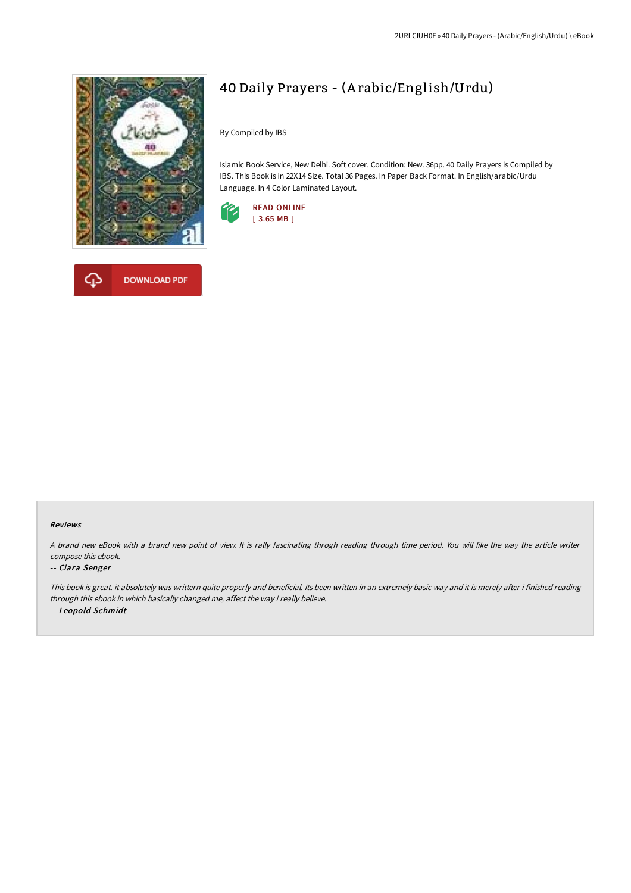

**DOWNLOAD PDF** 



By Compiled by IBS

Islamic Book Service, New Delhi. Soft cover. Condition: New. 36pp. 40 Daily Prayers is Compiled by IBS. This Book is in 22X14 Size. Total 36 Pages. In Paper Back Format. In English/arabic/Urdu Language. In 4 Color Laminated Layout.



#### Reviews

<sup>A</sup> brand new eBook with <sup>a</sup> brand new point of view. It is rally fascinating throgh reading through time period. You will like the way the article writer compose this ebook.

#### -- Ciara Senger

This book is great. it absolutely was writtern quite properly and beneficial. Its been written in an extremely basic way and it is merely after i finished reading through this ebook in which basically changed me, affect the way i really believe. -- Leopold Schmidt